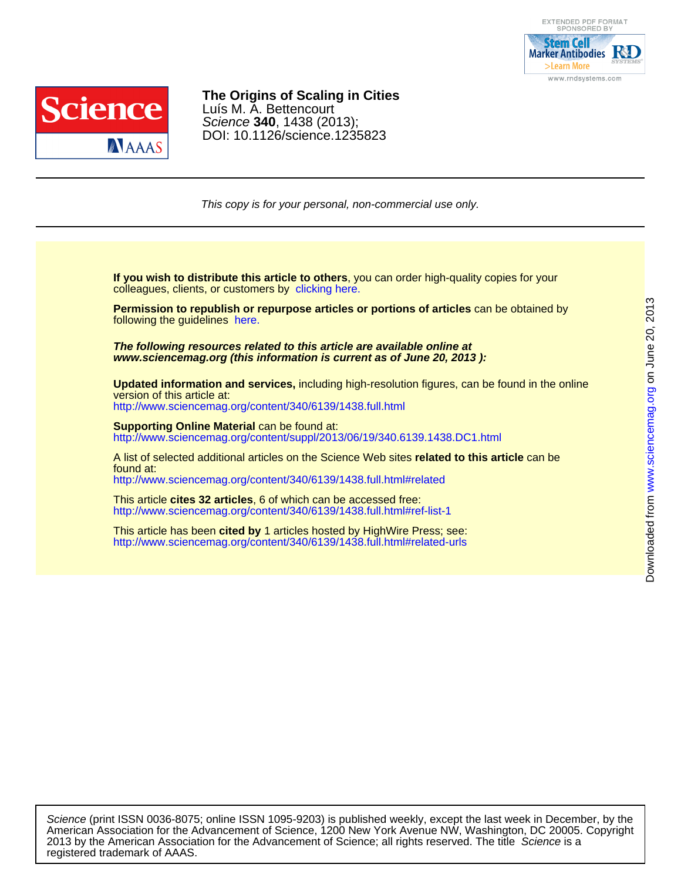



# DOI: 10.1126/science.1235823 Science **340**, 1438 (2013); Luís M. A. Bettencourt **The Origins of Scaling in Cities**

This copy is for your personal, non-commercial use only.

colleagues, clients, or customers by [clicking here.](http://www.sciencemag.org/about/permissions.dtl) **If you wish to distribute this article to others**, you can order high-quality copies for your

following the guidelines [here.](http://www.sciencemag.org/about/permissions.dtl) **Permission to republish or repurpose articles or portions of articles** can be obtained by

**www.sciencemag.org (this information is current as of June 20, 2013 ): The following resources related to this article are available online at**

version of this article at: **Updated information and services,** including high-resolution figures, can be found in the online

<http://www.sciencemag.org/content/340/6139/1438.full.html>

http://www.sciencemag.org/content/suppl/2013/06/19/340.6139.1438.DC1.html **Supporting Online Material can be found at:** 

<http://www.sciencemag.org/content/340/6139/1438.full.html#related> found at: A list of selected additional articles on the Science Web sites **related to this article** can be

<http://www.sciencemag.org/content/340/6139/1438.full.html#ref-list-1> This article **cites 32 articles**, 6 of which can be accessed free:

<http://www.sciencemag.org/content/340/6139/1438.full.html#related-urls> This article has been **cited by** 1 articles hosted by HighWire Press; see:

registered trademark of AAAS. 2013 by the American Association for the Advancement of Science; all rights reserved. The title Science is a American Association for the Advancement of Science, 1200 New York Avenue NW, Washington, DC 20005. Copyright Science (print ISSN 0036-8075; online ISSN 1095-9203) is published weekly, except the last week in December, by the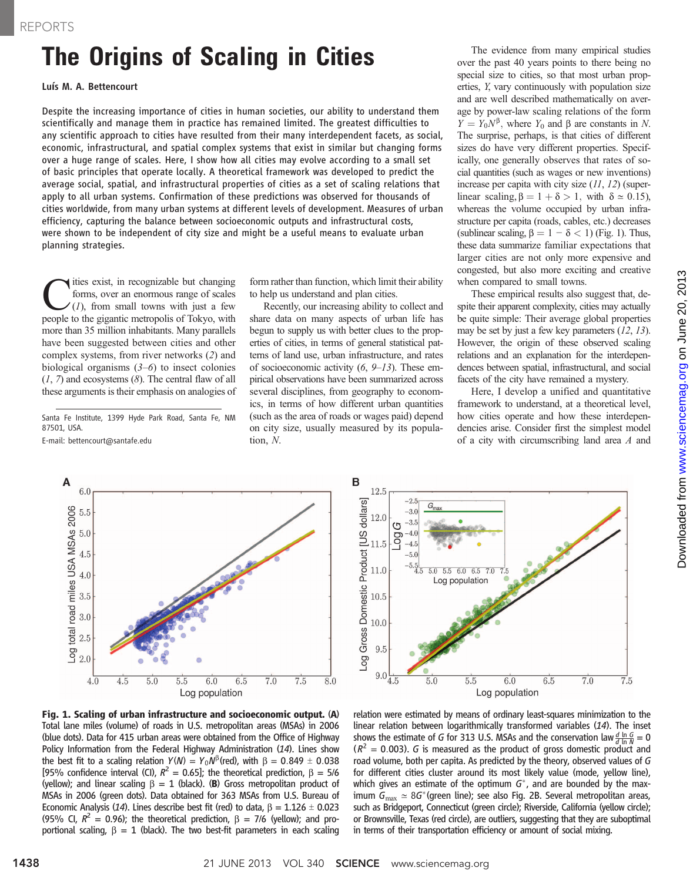# The Origins of Scaling in Cities Luís M. A. Bettencourt

Despite the increasing importance of cities in human societies, our ability to understand them scientifically and manage them in practice has remained limited. The greatest difficulties to any scientific approach to cities have resulted from their many interdependent facets, as social, economic, infrastructural, and spatial complex systems that exist in similar but changing forms over a huge range of scales. Here, I show how all cities may evolve according to a small set of basic principles that operate locally. A theoretical framework was developed to predict the average social, spatial, and infrastructural properties of cities as a set of scaling relations that apply to all urban systems. Confirmation of these predictions was observed for thousands of cities worldwide, from many urban systems at different levels of development. Measures of urban efficiency, capturing the balance between socioeconomic outputs and infrastructural costs, were shown to be independent of city size and might be a useful means to evaluate urban planning strategies.

 $\sum_{(I)}$  ities exist, in recognizable but changing<br>forms, over an enormous range of scales<br>(1), from small towns with just a few<br>neonle to the gigantic metronolis of Tokyo with forms, over an enormous range of scales people to the gigantic metropolis of Tokyo, with more than 35 million inhabitants. Many parallels have been suggested between cities and other complex systems, from river networks (2) and biological organisms  $(3-6)$  to insect colonies  $(1, 7)$  and ecosystems  $(8)$ . The central flaw of all these arguments is their emphasis on analogies of

Santa Fe Institute, 1399 Hyde Park Road, Santa Fe, NM 87501, USA.

E-mail: bettencourt@santafe.edu

form rather than function, which limit their ability to help us understand and plan cities.

Recently, our increasing ability to collect and share data on many aspects of urban life has begun to supply us with better clues to the properties of cities, in terms of general statistical patterns of land use, urban infrastructure, and rates of socioeconomic activity  $(6, 9-13)$ . These empirical observations have been summarized across several disciplines, from geography to economics, in terms of how different urban quantities (such as the area of roads or wages paid) depend on city size, usually measured by its population, N.

The evidence from many empirical studies over the past 40 years points to there being no special size to cities, so that most urban properties, Y, vary continuously with population size and are well described mathematically on average by power-law scaling relations of the form  $Y = Y_0 N^{\beta}$ , where  $Y_0$  and  $\beta$  are constants in N. The surprise, perhaps, is that cities of different sizes do have very different properties. Specifically, one generally observes that rates of social quantities (such as wages or new inventions) increase per capita with city size  $(11, 12)$  (superlinear scaling,  $\beta = 1 + \delta > 1$ , with  $\delta \approx 0.15$ ), whereas the volume occupied by urban infrastructure per capita (roads, cables, etc.) decreases (sublinear scaling,  $\beta = 1 - \delta < 1$ ) (Fig. 1). Thus, these data summarize familiar expectations that larger cities are not only more expensive and congested, but also more exciting and creative when compared to small towns.

These empirical results also suggest that, despite their apparent complexity, cities may actually be quite simple: Their average global properties may be set by just a few key parameters  $(12, 13)$ . However, the origin of these observed scaling relations and an explanation for the interdependences between spatial, infrastructural, and social facets of the city have remained a mystery.

Here, I develop a unified and quantitative framework to understand, at a theoretical level, how cities operate and how these interdependencies arise. Consider first the simplest model of a city with circumscribing land area A and





Fig. 1. Scaling of urban infrastructure and socioeconomic output. (A) Total lane miles (volume) of roads in U.S. metropolitan areas (MSAs) in 2006 (blue dots). Data for 415 urban areas were obtained from the Office of Highway Policy Information from the Federal Highway Administration (14). Lines show the best fit to a scaling relation  $Y(N) = Y_0 N^{\beta}$ (red), with  $\beta = 0.849 \pm 0.038$ [95% confidence interval (CI),  $R^2 = 0.65$ ]; the theoretical prediction,  $\beta = 5/6$ (yellow); and linear scaling  $\beta = 1$  (black). (B) Gross metropolitan product of MSAs in 2006 (green dots). Data obtained for 363 MSAs from U.S. Bureau of Economic Analysis (14). Lines describe best fit (red) to data,  $\beta = 1.126 \pm 0.023$ (95% CI,  $R^2 = 0.96$ ); the theoretical prediction,  $\beta = 7/6$  (yellow); and proportional scaling,  $\beta = 1$  (black). The two best-fit parameters in each scaling

relation were estimated by means of ordinary least-squares minimization to the linear relation between logarithmically transformed variables (14). The inset shows the estimate of G for 313 U.S. MSAs and the conservation law  $\frac{d \ln G}{d \ln N} = 0$  $(R^2 = 0.003)$ . G is measured as the product of gross domestic product and road volume, both per capita. As predicted by the theory, observed values of G for different cities cluster around its most likely value (mode, yellow line), which gives an estimate of the optimum  $G^*$ , and are bounded by the maximum  $G_{\text{max}} \simeq 8G^*$  (green line); see also Fig. 2B. Several metropolitan areas, such as Bridgeport, Connecticut (green circle); Riverside, California (yellow circle); or Brownsville, Texas (red circle), are outliers, suggesting that they are suboptimal in terms of their transportation efficiency or amount of social mixing.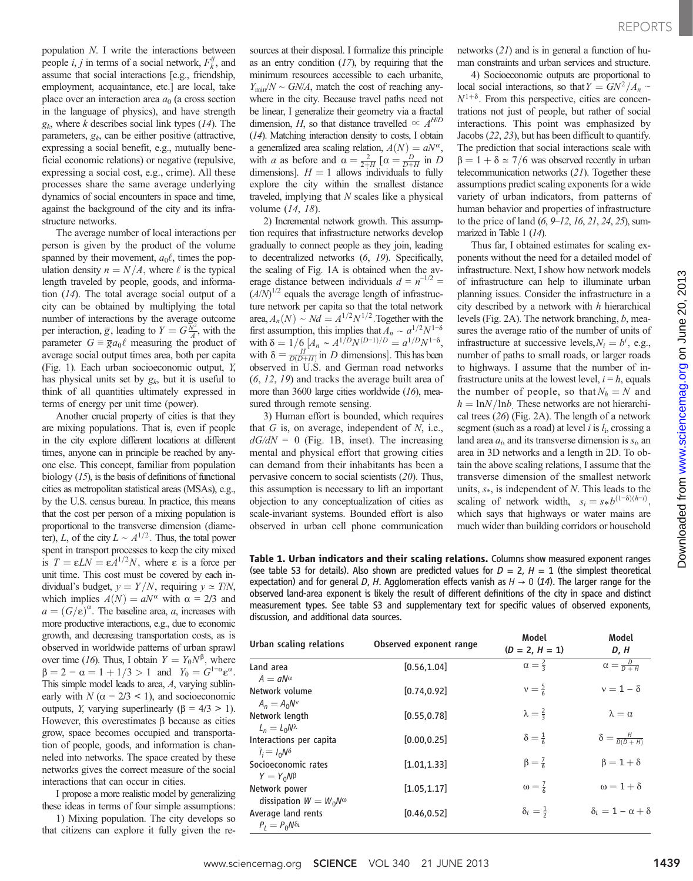population N. I write the interactions between people *i*, *j* in terms of a social network,  $F_k^{ij}$ , and assume that social interactions [e.g., friendship, employment, acquaintance, etc.] are local, take place over an interaction area  $a_0$  (a cross section in the language of physics), and have strength  $g_k$ , where k describes social link types (14). The parameters,  $g_k$  can be either positive (attractive, expressing a social benefit, e.g., mutually beneficial economic relations) or negative (repulsive, expressing a social cost, e.g., crime). All these processes share the same average underlying dynamics of social encounters in space and time, against the background of the city and its infrastructure networks.

The average number of local interactions per person is given by the product of the volume spanned by their movement,  $a_0 \ell$ , times the population density  $n = N/A$ , where  $\ell$  is the typical length traveled by people, goods, and information (14). The total average social output of a city can be obtained by multiplying the total number of interactions by the average outcome per interaction,  $\overline{g}$ , leading to  $Y = G\frac{\overline{N}^2}{A}$ , with the parameter  $G = \overline{g} a_0 \ell$  measuring the product of average social output times area, both per capita (Fig. 1). Each urban socioeconomic output, Y, has physical units set by  $g_k$ , but it is useful to think of all quantities ultimately expressed in terms of energy per unit time (power).

Another crucial property of cities is that they are mixing populations. That is, even if people in the city explore different locations at different times, anyone can in principle be reached by anyone else. This concept, familiar from population biology (15), is the basis of definitions of functional cities as metropolitan statistical areas (MSAs), e.g., by the U.S. census bureau. In practice, this means that the cost per person of a mixing population is proportional to the transverse dimension (diameter), L, of the city  $L \sim A^{1/2}$ . Thus, the total power spent in transport processes to keep the city mixed is  $T = \varepsilon L N = \varepsilon A^{1/2} N$ , where  $\varepsilon$  is a force per unit time. This cost must be covered by each individual's budget,  $y = Y/N$ , requiring  $y \approx T/N$ , which implies  $A(N) = aN^{\alpha}$  with  $\alpha = 2/3$  and  $a = (G/\varepsilon)^{\alpha}$ . The baseline area, a, increases with more productive interactions, e.g., due to economic growth, and decreasing transportation costs, as is observed in worldwide patterns of urban sprawl over time (16). Thus, I obtain  $Y = Y_0 N^{\beta}$ , where  $\beta = 2 - \alpha = 1 + 1/3 > 1$  and  $Y_0 = G^{1-\alpha} \varepsilon^{\alpha}$ . This simple model leads to area, A, varying sublinearly with  $N$  ( $\alpha$  = 2/3 < 1), and socioeconomic outputs, *Y*, varying superlinearly ( $\beta = 4/3 > 1$ ). However, this overestimates  $\beta$  because as cities grow, space becomes occupied and transportation of people, goods, and information is channeled into networks. The space created by these networks gives the correct measure of the social interactions that can occur in cities.

I propose a more realistic model by generalizing these ideas in terms of four simple assumptions:

1) Mixing population. The city develops so that citizens can explore it fully given the resources at their disposal. I formalize this principle as an entry condition  $(17)$ , by requiring that the minimum resources accessible to each urbanite,  $Y_{\text{min}}/N \sim GN/A$ , match the cost of reaching anywhere in the city. Because travel paths need not be linear, I generalize their geometry via a fractal dimension, *H*, so that distance travelled  $\propto$   $A^{HD}$ (14). Matching interaction density to costs, I obtain a generalized area scaling relation,  $A(N) = aN^{\alpha}$ , with a as before and  $\alpha = \frac{2}{2+H} [\alpha = \frac{D}{D+H} \text{ in } D]$ dimensions].  $H = 1$  allows individuals to fully explore the city within the smallest distance traveled, implying that  $N$  scales like a physical volume (14, 18).

2) Incremental network growth. This assumption requires that infrastructure networks develop gradually to connect people as they join, leading to decentralized networks (6, 19). Specifically, the scaling of Fig. 1A is obtained when the average distance between individuals  $d = n^{-1/2}$  $(A/N)^{1/2}$  equals the average length of infrastructure network per capita so that the total network area,  $A_n(N) \sim Nd = A^{1/2}N^{1/2}$ . Together with the first assumption, this implies that  $A_n \sim a^{1/2}N^{1-\delta}$ first assumption, this implies that  $A_n \sim a^{1/2} N^{1-\delta}$ <br>with  $\delta = 1/6 [A_n \sim A^{1/D} N^{(D-1)/D} = a^{1/D} N^{1-\delta}$ , with  $\delta = \frac{H}{D(D+H)}$  in D dimensions]. This has been observed in U.S. and German road networks (6, 12, 19) and tracks the average built area of more than 3600 large cities worldwide (16), measured through remote sensing.

3) Human effort is bounded, which requires that  $G$  is, on average, independent of  $N$ , i.e.,  $dG/dN = 0$  (Fig. 1B, inset). The increasing mental and physical effort that growing cities can demand from their inhabitants has been a pervasive concern to social scientists (20). Thus, this assumption is necessary to lift an important objection to any conceptualization of cities as scale-invariant systems. Bounded effort is also observed in urban cell phone communication networks (21) and is in general a function of human constraints and urban services and structure.

4) Socioeconomic outputs are proportional to local social interactions, so that  $Y = GN^2/A_n \sim N^{1+\delta}$ . From this perspective, cities are concentrations not just of people, but rather of social interactions. This point was emphasized by Jacobs (22, 23), but has been difficult to quantify. The prediction that social interactions scale with  $\beta = 1 + \delta \approx 7/6$  was observed recently in urban telecommunication networks (21). Together these assumptions predict scaling exponents for a wide variety of urban indicators, from patterns of human behavior and properties of infrastructure to the price of land  $(6, 9-12, 16, 21, 24, 25)$ , summarized in Table 1 (14).

Thus far, I obtained estimates for scaling exponents without the need for a detailed model of infrastructure. Next, I show how network models of infrastructure can help to illuminate urban planning issues. Consider the infrastructure in a city described by a network with  $h$  hierarchical levels (Fig. 2A). The network branching, b, measures the average ratio of the number of units of infrastructure at successive levels,  $N_i = b^i$ , e.g., number of paths to small roads, or larger roads to highways. I assume that the number of infrastructure units at the lowest level,  $i = h$ , equals the number of people, so that  $N_h = N$  and  $h = \ln N / \ln b$  These networks are not hierarchical trees (26) (Fig. 2A). The length of a network segment (such as a road) at level  $i$  is  $l_i$ , crossing a land area  $a_i$ , and its transverse dimension is  $s_i$ , and area in 3D networks and a length in 2D. To obtain the above scaling relations, I assume that the transverse dimension of the smallest network units,  $s$ <sup>\*</sup>, is independent of N. This leads to the scaling of network width,  $s_i = s * b^{(1-\delta)(h-i)}$ , which says that highways or water mains are much wider than building corridors or household

Table 1. Urban indicators and their scaling relations. Columns show measured exponent ranges (see table S3 for details). Also shown are predicted values for  $D = 2$ ,  $H = 1$  (the simplest theoretical expectation) and for general D, H. Agglomeration effects vanish as  $H \rightarrow 0$  (14). The larger range for the observed land-area exponent is likely the result of different definitions of the city in space and distinct measurement types. See table S3 and supplementary text for specific values of observed exponents, discussion, and additional data sources.

| Urban scaling relations                           | Observed exponent range | Model<br>$(D = 2, H = 1)$ | Model<br>D, H                    |
|---------------------------------------------------|-------------------------|---------------------------|----------------------------------|
| Land area<br>$A = aN^{\alpha}$                    | [0.56, 1.04]            | $\alpha = \frac{2}{3}$    | $\alpha = \frac{D}{D+H}$         |
| Network volume<br>$A_n = A_0 N^v$                 | [0.74, 0.92]            | $v = \frac{5}{6}$         | $v = 1 - \delta$                 |
| Network length<br>$L_n = L_0 N^{\lambda}$         | [0.55, 0.78]            | $\lambda = \frac{2}{3}$   | $\lambda = \alpha$               |
| Interactions per capita<br>$I_i = I_0 N^{\delta}$ | [0.00, 0.25]            | $\delta = \frac{1}{6}$    | $\delta = \frac{H}{D(D+H)}$      |
| Socioeconomic rates<br>$Y = Y_0 N^{\beta}$        | [1.01, 1.33]            | $\beta = \frac{7}{6}$     | $\beta = 1 + \delta$             |
| Network power<br>dissipation $W = W_0 W^\omega$   | [1.05, 1.17]            | $\omega = \frac{7}{6}$    | $\omega = 1 + \delta$            |
| Average land rents<br>$P_1 = P_0 N \delta_l$      | [0.46, 0.52]            | $\delta_l = \frac{1}{2}$  | $\delta_1 = 1 - \alpha + \delta$ |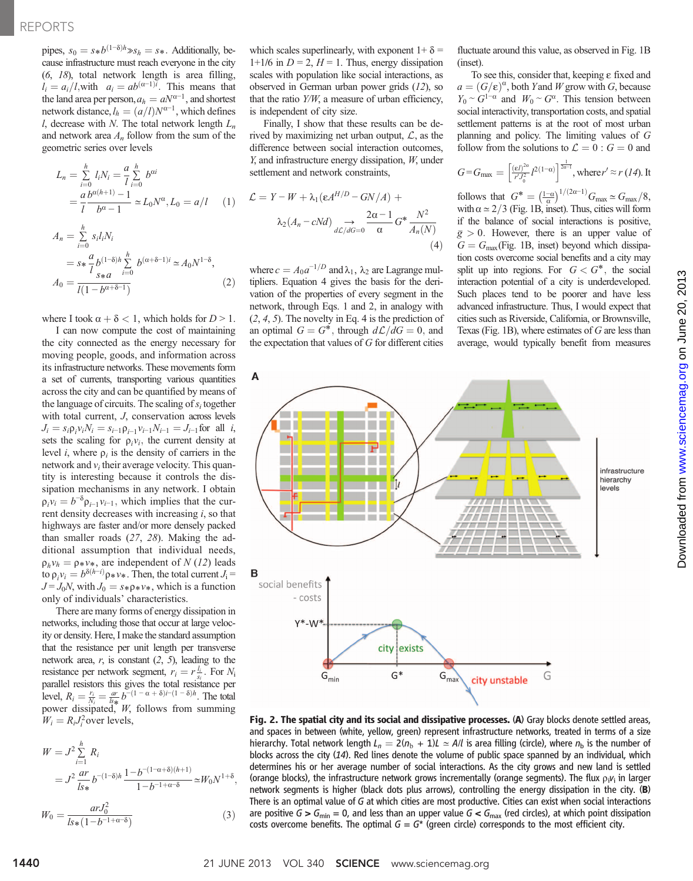## REPORTS

pipes,  $s_0 = s * b^{(1-\delta)h} \gg s_h = s*.$  Additionally, because infrastructure must reach everyone in the city (6, 18), total network length is area filling,  $l_i = a_i/l$ , with  $a_i = ab^{(\alpha-1)i}$ . This means that the land area per person,  $a_h = aN^{\alpha-1}$ , and shortest network distance,  $l_h = (a/l)N^{\alpha-1}$ , which defines l, decrease with N. The total network length  $L_n$ and network area  $A_n$  follow from the sum of the geometric series over levels

$$
L_n = \sum_{i=0}^h l_i N_i = \frac{a}{l} \sum_{i=0}^h b^{ai}
$$
  
=  $\frac{a}{l} \frac{b^{\alpha(h+1)} - 1}{b^{\alpha} - 1} \approx L_0 N^{\alpha}, L_0 = a/l$  (1)  

$$
A_n = \sum_{i=0}^h s_i l_i N_i
$$
  
=  $s * \frac{a}{l} b^{(1-\delta)h} \sum_{i=0}^h b^{(\alpha+\delta-1)i} \approx A_0 N^{1-\delta},$   

$$
A_0 = \frac{a}{l(1 - b^{\alpha+\delta-1})}
$$
 (2)

where I took  $\alpha + \delta < 1$ , which holds for  $D > 1$ .

I can now compute the cost of maintaining the city connected as the energy necessary for moving people, goods, and information across its infrastructure networks. These movements form a set of currents, transporting various quantities across the city and can be quantified by means of the language of circuits. The scaling of  $s_i$  together with total current, J, conservation across levels  $J_i = s_i \rho_i v_i N_i = s_{i-1} \rho_{i-1} v_{i-1} N_{i-1} = J_{i-1}$  for all *i*, sets the scaling for  $\rho_i v_i$ , the current density at level *i*, where  $\rho_i$  is the density of carriers in the network and  $v_i$  their average velocity. This quantity is interesting because it controls the dissipation mechanisms in any network. I obtain  $\rho_i v_i = b^{-\delta} \rho_{i-1} v_{i-1}$ , which implies that the current density decreases with increasing  $i$ , so that highways are faster and/or more densely packed than smaller roads (27, 28). Making the additional assumption that individual needs,  $\rho_h v_h = \rho_* v_*$ , are independent of N (12) leads to  $\rho_i v_i = b^{\delta(h-i)} \rho * v *$ . Then, the total current  $J_i =$  $J = J_0N$ , with  $J_0 = s*\rho*\nu*$ , which is a function only of individuals' characteristics.

There are many forms of energy dissipation in networks, including those that occur at large velocity or density. Here, I make the standard assumption that the resistance per unit length per transverse network area,  $r$ , is constant  $(2, 5)$ , leading to the resistance per network segment,  $r_i = r \frac{l_i}{s_i}$ . For  $N_i$ resistance per network segment,  $r_i = r_{s_i}$ . For  $r_{i_1}$  parallel resistors this gives the total resistance per level,  $R_i = \frac{r_i}{N_i} = \frac{dr}{ds} b^{-(1-\alpha+\delta)i-(1-\delta)h}$ . The total power dissipated, W, follows from summing  $W_i = R_i J_i^2$  over levels,

$$
W = J^2 \sum_{i=1}^{h} R_i
$$
  
=  $J^2 \frac{ar}{ls*} b^{-(1-\delta)h} \frac{1 - b^{-(1-\alpha+\delta)(h+1)}}{1 - b^{-1+\alpha-\delta}} \approx W_0 N^{1+\delta},$   

$$
W_0 = \frac{arJ_0^2}{ls* (1 - b^{-1+\alpha-\delta})}
$$
 (3)

which scales superlinearly, with exponent  $1+\delta =$ 1+1/6 in  $D = 2$ ,  $H = 1$ . Thus, energy dissipation scales with population like social interactions, as observed in German urban power grids (12), so that the ratio  $Y/W$ , a measure of urban efficiency, is independent of city size.

Finally, I show that these results can be derived by maximizing net urban output, *L*, as the difference between social interaction outcomes, Y, and infrastructure energy dissipation, W, under settlement and network constraints,

$$
\mathcal{L} = Y - W + \lambda_1 (\varepsilon A^{H/D} - GN/A) +
$$

$$
\lambda_2 (A_n - cNd) \underset{d\mathcal{L}/dG = 0}{\longrightarrow} \frac{2\alpha - 1}{\alpha} G^* \frac{N^2}{A_n(N)}
$$
(4)

where  $c = A_0 a^{-1/D}$  and  $\lambda_1$ ,  $\lambda_2$  are Lagrange multipliers. Equation 4 gives the basis for the derivation of the properties of every segment in the network, through Eqs. 1 and 2, in analogy with  $(2, 4, 5)$ . The novelty in Eq. 4 is the prediction of an optimal  $G = G^*$ , through  $d\mathcal{L}/dG = 0$ , and the expectation that values of  $G$  for different cities fluctuate around this value, as observed in Fig. 1B (inset).

To see this, consider that, keeping e fixed and  $a = (G/\varepsilon)^{\alpha}$ , both Yand W grow with G, because  $Y_0 \sim G^{1-\alpha}$  and  $W_0 \sim G^{\alpha}$ . This tension between social interactivity, transportation costs, and spatial settlement patterns is at the root of most urban planning and policy. The limiting values of G follow from the solutions to  $\mathcal{L} = 0$ :  $G = 0$  and

$$
G = G_{\text{max}} = \left[ \frac{(eI)^{2\alpha}}{r'J_0^2} I^{2(1-\alpha)} \right]^{\frac{1}{2\alpha-1}}, \text{where } r' \approx r \ (14). \ \text{It}
$$

follows that  $G^* = \left(\frac{1-\alpha}{\alpha}\right)^{1/(2\alpha-1)} G_{\text{max}} \simeq G_{\text{max}}/8$ , with  $\alpha \simeq 2/3$  (Fig. 1B, inset). Thus, cities will form if the balance of social interactions is positive,  $\bar{g} > 0$ . However, there is an upper value of  $G = G_{\text{max}}$ (Fig. 1B, inset) beyond which dissipation costs overcome social benefits and a city may split up into regions. For  $G < G^*$ , the social interaction potential of a city is underdeveloped. Such places tend to be poorer and have less advanced infrastructure. Thus, I would expect that cities such as Riverside, California, or Brownsville, Texas (Fig. 1B), where estimates of  $G$  are less than average, would typically benefit from measures



Fig. 2. The spatial city and its social and dissipative processes. (A) Gray blocks denote settled areas, and spaces in between (white, yellow, green) represent infrastructure networks, treated in terms of a size hierarchy. Total network length  $L_n = 2(n_b + 1)L \approx A/l$  is area filling (circle), where  $n_b$  is the number of blocks across the city (14). Red lines denote the volume of public space spanned by an individual, which determines his or her average number of social interactions. As the city grows and new land is settled (orange blocks), the infrastructure network grows incrementally (orange segments). The flux  $\rho_i v_i$  in larger network segments is higher (black dots plus arrows), controlling the energy dissipation in the city. (B) There is an optimal value of G at which cities are most productive. Cities can exist when social interactions are positive  $G > G_{\text{min}} = 0$ , and less than an upper value  $G < G_{\text{max}}$  (red circles), at which point dissipation costs overcome benefits. The optimal  $G = G^*$  (green circle) corresponds to the most efficient city.